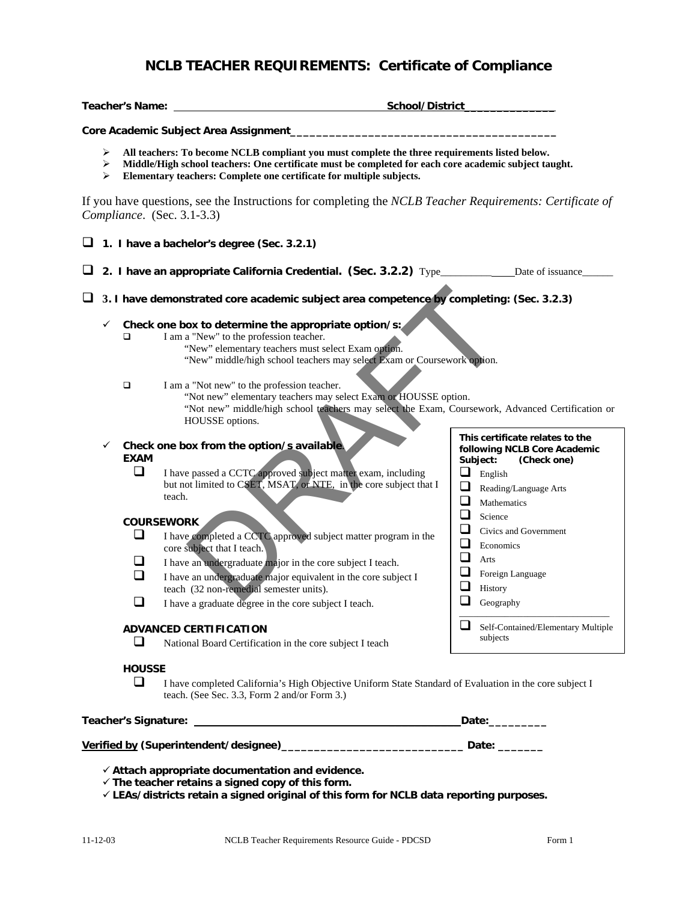# **NCLB TEACHER REQUIREMENTS: Certificate of Compliance**

|        |                                                                                          | <b>Teacher's Name:</b>                                                                                                                                                                                                                                                         |                                                                                                                                                                                                                                                                                                                                                                                                                                                                           | School/District                                                                                                                                              |  |  |
|--------|------------------------------------------------------------------------------------------|--------------------------------------------------------------------------------------------------------------------------------------------------------------------------------------------------------------------------------------------------------------------------------|---------------------------------------------------------------------------------------------------------------------------------------------------------------------------------------------------------------------------------------------------------------------------------------------------------------------------------------------------------------------------------------------------------------------------------------------------------------------------|--------------------------------------------------------------------------------------------------------------------------------------------------------------|--|--|
|        |                                                                                          |                                                                                                                                                                                                                                                                                | Core Academic Subject Area Assignment                                                                                                                                                                                                                                                                                                                                                                                                                                     |                                                                                                                                                              |  |  |
|        | ➤<br>➤<br>➤                                                                              | All teachers: To become NCLB compliant you must complete the three requirements listed below.<br>Middle/High school teachers: One certificate must be completed for each core academic subject taught.<br>Elementary teachers: Complete one certificate for multiple subjects. |                                                                                                                                                                                                                                                                                                                                                                                                                                                                           |                                                                                                                                                              |  |  |
|        |                                                                                          |                                                                                                                                                                                                                                                                                | If you have questions, see the Instructions for completing the NCLB Teacher Requirements: Certificate of<br>Compliance. (Sec. 3.1-3.3)                                                                                                                                                                                                                                                                                                                                    |                                                                                                                                                              |  |  |
| ⊔      |                                                                                          |                                                                                                                                                                                                                                                                                | 1. I have a bachelor's degree (Sec. 3.2.1)                                                                                                                                                                                                                                                                                                                                                                                                                                |                                                                                                                                                              |  |  |
| ⊔      |                                                                                          |                                                                                                                                                                                                                                                                                | 2. I have an appropriate California Credential. (Sec. 3.2.2) Type______________Date of issuance_                                                                                                                                                                                                                                                                                                                                                                          |                                                                                                                                                              |  |  |
| $\Box$ | 3. I have demonstrated core academic subject area competence by completing: (Sec. 3.2.3) |                                                                                                                                                                                                                                                                                |                                                                                                                                                                                                                                                                                                                                                                                                                                                                           |                                                                                                                                                              |  |  |
|        | ✓                                                                                        | ◻<br>$\Box$                                                                                                                                                                                                                                                                    | Check one box to determine the appropriate option/s:<br>I am a "New" to the profession teacher.<br>"New" elementary teachers must select Exam option.<br>"New" middle/high school teachers may select Exam or Coursework option.<br>I am a "Not new" to the profession teacher.<br>"Not new" elementary teachers may select Exam or HOUSSE option.<br>"Not new" middle/high school teachers may select the Exam, Coursework, Advanced Certification or<br>HOUSSE options. |                                                                                                                                                              |  |  |
|        | ✓                                                                                        | <b>EXAM</b><br>□                                                                                                                                                                                                                                                               | Check one box from the option/s available.<br>I have passed a CCTC approved subject matter exam, including<br>but not limited to CSET, MSAT, or NTE, in the core subject that I<br>teach.                                                                                                                                                                                                                                                                                 | This certificate relates to the<br>following NCLB Core Academic<br>Subject:<br>(Check one)<br>❏<br>English<br>❏<br>Reading/Language Arts<br>❏<br>Mathematics |  |  |
|        |                                                                                          | $\Box$<br>$\Box$<br>◻                                                                                                                                                                                                                                                          | <b>COURSEWORK</b><br>I have completed a CCTC approved subject matter program in the<br>core subject that I teach.<br>I have an undergraduate major in the core subject I teach.<br>I have an undergraduate major equivalent in the core subject I                                                                                                                                                                                                                         | $\Box$<br>Science<br>$\Box$<br>Civics and Government<br>❏<br>Economics<br>❏<br>Arts<br>$\Box$<br>Foreign Language                                            |  |  |
|        |                                                                                          |                                                                                                                                                                                                                                                                                | teach (32 non-remedial semester units).<br>I have a graduate degree in the core subject I teach.                                                                                                                                                                                                                                                                                                                                                                          | ❏<br>History<br>П<br>Geography                                                                                                                               |  |  |
|        |                                                                                          | <b>ADVANCED CERTIFICATION</b>                                                                                                                                                                                                                                                  |                                                                                                                                                                                                                                                                                                                                                                                                                                                                           | Self-Contained/Elementary Multiple<br>subjects                                                                                                               |  |  |
|        |                                                                                          | ப                                                                                                                                                                                                                                                                              | National Board Certification in the core subject I teach                                                                                                                                                                                                                                                                                                                                                                                                                  |                                                                                                                                                              |  |  |
|        |                                                                                          | I have completed California's High Objective Uniform State Standard of Evaluation in the core subject I                                                                                                                                                                        |                                                                                                                                                                                                                                                                                                                                                                                                                                                                           |                                                                                                                                                              |  |  |
|        |                                                                                          |                                                                                                                                                                                                                                                                                |                                                                                                                                                                                                                                                                                                                                                                                                                                                                           | _Date:_________                                                                                                                                              |  |  |
|        |                                                                                          |                                                                                                                                                                                                                                                                                | Verified by (Superintendent/designee)_________________________________Date: ________                                                                                                                                                                                                                                                                                                                                                                                      |                                                                                                                                                              |  |  |
|        |                                                                                          |                                                                                                                                                                                                                                                                                | $\checkmark$ Attach appropriate documentation and evidence.<br>$\checkmark$ The teacher retains a signed copy of this form.                                                                                                                                                                                                                                                                                                                                               |                                                                                                                                                              |  |  |

9 **LEAs/districts retain a signed original of this form for NCLB data reporting purposes.**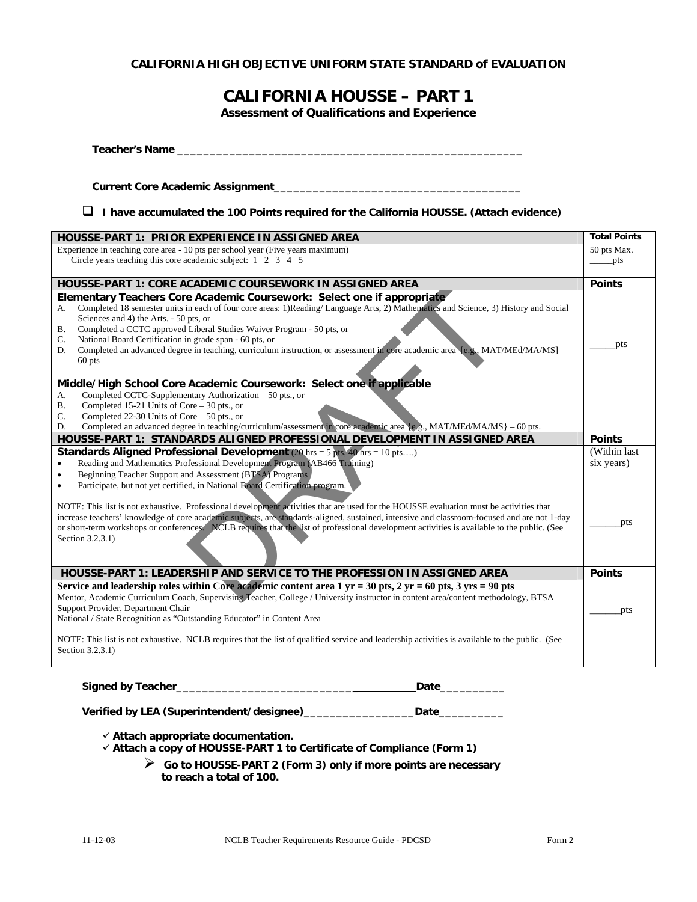### **CALIFORNIA HIGH OBJECTIVE UNIFORM STATE STANDARD of EVALUATION**

## **CALIFORNIA HOUSSE – PART 1**

**Assessment of Qualifications and Experience** 

| ப<br>I have accumulated the 100 Points required for the California HOUSSE. (Attach evidence)                                                                                                                                                                                                                                                                                                                                                                                                                                                                 |                                         |
|--------------------------------------------------------------------------------------------------------------------------------------------------------------------------------------------------------------------------------------------------------------------------------------------------------------------------------------------------------------------------------------------------------------------------------------------------------------------------------------------------------------------------------------------------------------|-----------------------------------------|
| HOUSSE-PART 1: PRIOR EXPERIENCE IN ASSIGNED AREA                                                                                                                                                                                                                                                                                                                                                                                                                                                                                                             | <b>Total Points</b>                     |
| Experience in teaching core area - 10 pts per school year (Five years maximum)<br>Circle years teaching this core academic subject: $1\quad 2\quad 3\quad 4\quad 5$                                                                                                                                                                                                                                                                                                                                                                                          | 50 pts Max.<br>$\rule{1em}{0.15mm}$ pts |
| <b>HOUSSE-PART 1: CORE ACADEMIC COURSEWORK IN ASSIGNED AREA</b>                                                                                                                                                                                                                                                                                                                                                                                                                                                                                              | <b>Points</b>                           |
| Elementary Teachers Core Academic Coursework: Select one if appropriate<br>Completed 18 semester units in each of four core areas: 1)Reading/Language Arts, 2) Mathematics and Science, 3) History and Social<br>А.<br>Sciences and 4) the Arts. - 50 pts, or<br>Completed a CCTC approved Liberal Studies Waiver Program - 50 pts, or<br>В.<br>National Board Certification in grade span - 60 pts, or<br>C.<br>Completed an advanced degree in teaching, curriculum instruction, or assessment in core academic area [e.g., MAT/MEd/MA/MS]<br>D.<br>60 pts | pts                                     |
| Middle/High School Core Academic Coursework: Select one if applicable<br>Completed CCTC-Supplementary Authorization - 50 pts., or<br>А.<br>Completed 15-21 Units of Core $-30$ pts., or<br>Completed 22-30 Units of Core $-50$ pts., or<br>Completed an advanced degree in teaching/curriculum/assessment in core academic area $\{e.g., MAT/MEd/MA/MS\} - 60$ pts.<br>D.                                                                                                                                                                                    |                                         |
| HOUSSE-PART 1: STANDARDS ALIGNED PROFESSIONAL DEVELOPMENT IN ASSIGNED AREA                                                                                                                                                                                                                                                                                                                                                                                                                                                                                   | <b>Points</b>                           |
| <b>Standards Aligned Professional Development</b> (20 $\text{hrs} = 5 \text{ pts}, 40 \text{ hrs} = 10 \text{ pts}$ )<br>Reading and Mathematics Professional Development Program (AB466 Training)<br>Beginning Teacher Support and Assessment (BTSA) Programs<br>Participate, but not yet certified, in National Board Certification program.                                                                                                                                                                                                               | (Within last)<br>six years)             |
| NOTE: This list is not exhaustive. Professional development activities that are used for the HOUSSE evaluation must be activities that<br>increase teachers' knowledge of core academic subjects, are standards-aligned, sustained, intensive and classroom-focused and are not 1-day<br>or short-term workshops or conferences. NCLB requires that the list of professional development activities is available to the public. (See<br>Section 3.2.3.1)                                                                                                     | pts                                     |
| HOUSSE-PART 1: LEADERSHIP AND SERVICE TO THE PROFESSION IN ASSIGNED AREA                                                                                                                                                                                                                                                                                                                                                                                                                                                                                     | <b>Points</b>                           |
| Service and leadership roles within Core academic content area 1 yr = 30 pts, 2 yr = 60 pts, 3 yrs = 90 pts                                                                                                                                                                                                                                                                                                                                                                                                                                                  |                                         |
| Mentor, Academic Curriculum Coach, Supervising Teacher, College / University instructor in content area/content methodology, BTSA<br>Support Provider, Department Chair<br>National / State Recognition as "Outstanding Educator" in Content Area                                                                                                                                                                                                                                                                                                            | pts                                     |
| NOTE: This list is not exhaustive. NCLB requires that the list of qualified service and leadership activities is available to the public. (See                                                                                                                                                                                                                                                                                                                                                                                                               |                                         |

| Verified by LEA (Superintendent/designee) | Date |
|-------------------------------------------|------|

9 **Attach appropriate documentation.** 

9 **Attach a copy of HOUSSE-PART 1 to Certificate of Compliance (Form 1)** 

¾ **Go to HOUSSE-PART 2 (Form 3) only if more points are necessary to reach a total of 100.**